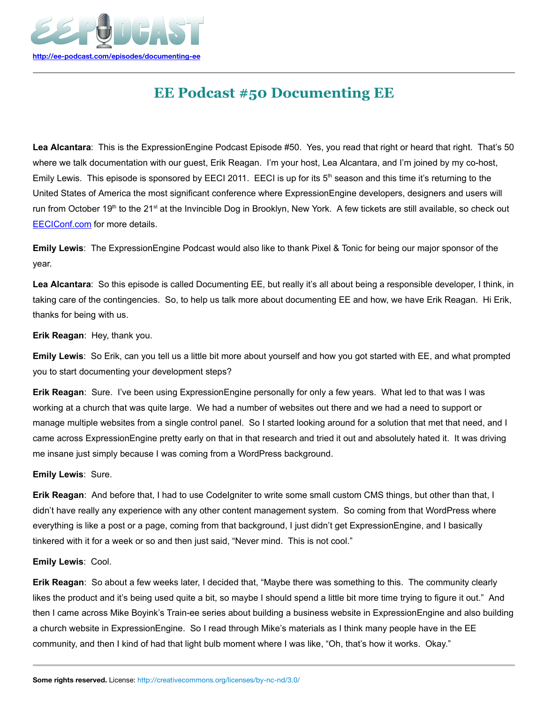

# **EE Podcast #50 Documenting EE**

**Lea Alcantara**: This is the ExpressionEngine Podcast Episode #50. Yes, you read that right or heard that right. That's 50 where we talk documentation with our guest, Erik Reagan. I'm your host, Lea Alcantara, and I'm joined by my co-host, Emily Lewis. This episode is sponsored by EECI 2011. EECI is up for its  $5<sup>th</sup>$  season and this time it's returning to the United States of America the most significant conference where ExpressionEngine developers, designers and users will run from October 19<sup>th</sup> to the 21<sup>st</sup> at the Invincible Dog in Brooklyn, New York. A few tickets are still available, so check out [EECIConf.com](http://eeciconf.com/) for more details.

**Emily Lewis**: The ExpressionEngine Podcast would also like to thank Pixel & Tonic for being our major sponsor of the year.

**Lea Alcantara**: So this episode is called Documenting EE, but really it's all about being a responsible developer, I think, in taking care of the contingencies. So, to help us talk more about documenting EE and how, we have Erik Reagan. Hi Erik, thanks for being with us.

**Erik Reagan**: Hey, thank you.

**Emily Lewis**: So Erik, can you tell us a little bit more about yourself and how you got started with EE, and what prompted you to start documenting your development steps?

**Erik Reagan**: Sure. I've been using ExpressionEngine personally for only a few years. What led to that was I was working at a church that was quite large. We had a number of websites out there and we had a need to support or manage multiple websites from a single control panel. So I started looking around for a solution that met that need, and I came across ExpressionEngine pretty early on that in that research and tried it out and absolutely hated it. It was driving me insane just simply because I was coming from a WordPress background.

**Emily Lewis**: Sure.

**Erik Reagan**: And before that, I had to use CodeIgniter to write some small custom CMS things, but other than that, I didn't have really any experience with any other content management system. So coming from that WordPress where everything is like a post or a page, coming from that background, I just didn't get ExpressionEngine, and I basically tinkered with it for a week or so and then just said, "Never mind. This is not cool."

**Emily Lewis**: Cool.

**Erik Reagan**: So about a few weeks later, I decided that, "Maybe there was something to this. The community clearly likes the product and it's being used quite a bit, so maybe I should spend a little bit more time trying to figure it out." And then I came across Mike Boyink's Train-ee series about building a business website in ExpressionEngine and also building a church website in ExpressionEngine. So I read through Mike's materials as I think many people have in the EE community, and then I kind of had that light bulb moment where I was like, "Oh, that's how it works. Okay."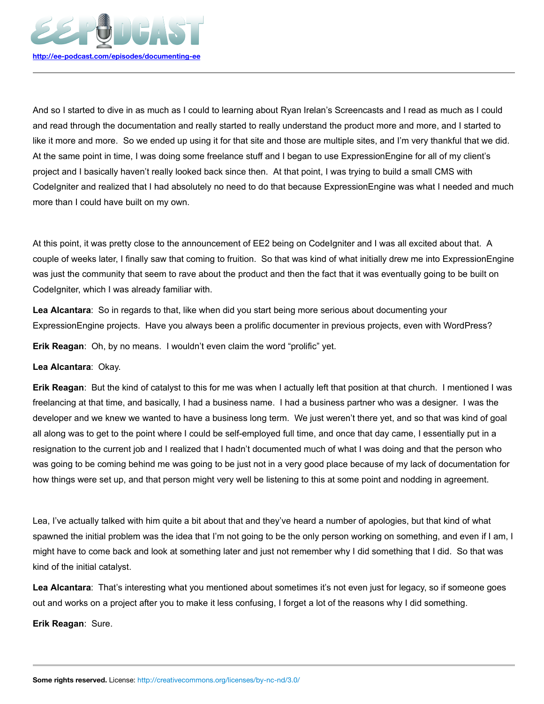

And so I started to dive in as much as I could to learning about Ryan Irelan's Screencasts and I read as much as I could and read through the documentation and really started to really understand the product more and more, and I started to like it more and more. So we ended up using it for that site and those are multiple sites, and I'm very thankful that we did. At the same point in time, I was doing some freelance stuff and I began to use ExpressionEngine for all of my client's project and I basically haven't really looked back since then. At that point, I was trying to build a small CMS with CodeIgniter and realized that I had absolutely no need to do that because ExpressionEngine was what I needed and much more than I could have built on my own.

At this point, it was pretty close to the announcement of EE2 being on CodeIgniter and I was all excited about that. A couple of weeks later, I finally saw that coming to fruition. So that was kind of what initially drew me into ExpressionEngine was just the community that seem to rave about the product and then the fact that it was eventually going to be built on CodeIgniter, which I was already familiar with.

**Lea Alcantara**: So in regards to that, like when did you start being more serious about documenting your ExpressionEngine projects. Have you always been a prolific documenter in previous projects, even with WordPress?

**Erik Reagan**: Oh, by no means. I wouldn't even claim the word "prolific" yet.

## **Lea Alcantara**: Okay.

**Erik Reagan**: But the kind of catalyst to this for me was when I actually left that position at that church. I mentioned I was freelancing at that time, and basically, I had a business name. I had a business partner who was a designer. I was the developer and we knew we wanted to have a business long term. We just weren't there yet, and so that was kind of goal all along was to get to the point where I could be self-employed full time, and once that day came, I essentially put in a resignation to the current job and I realized that I hadn't documented much of what I was doing and that the person who was going to be coming behind me was going to be just not in a very good place because of my lack of documentation for how things were set up, and that person might very well be listening to this at some point and nodding in agreement.

Lea, I've actually talked with him quite a bit about that and they've heard a number of apologies, but that kind of what spawned the initial problem was the idea that I'm not going to be the only person working on something, and even if I am, I might have to come back and look at something later and just not remember why I did something that I did. So that was kind of the initial catalyst.

**Lea Alcantara**: That's interesting what you mentioned about sometimes it's not even just for legacy, so if someone goes out and works on a project after you to make it less confusing, I forget a lot of the reasons why I did something.

**Erik Reagan**: Sure.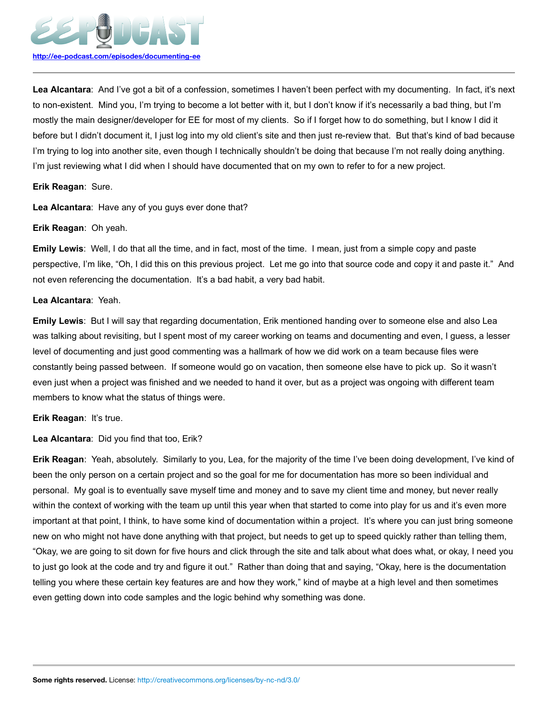

**Lea Alcantara**: And I've got a bit of a confession, sometimes I haven't been perfect with my documenting. In fact, it's next to non-existent. Mind you, I'm trying to become a lot better with it, but I don't know if it's necessarily a bad thing, but I'm mostly the main designer/developer for EE for most of my clients. So if I forget how to do something, but I know I did it before but I didn't document it, I just log into my old client's site and then just re-review that. But that's kind of bad because I'm trying to log into another site, even though I technically shouldn't be doing that because I'm not really doing anything. I'm just reviewing what I did when I should have documented that on my own to refer to for a new project.

#### **Erik Reagan**: Sure.

**Lea Alcantara**: Have any of you guys ever done that?

#### **Erik Reagan**: Oh yeah.

**Emily Lewis**: Well, I do that all the time, and in fact, most of the time. I mean, just from a simple copy and paste perspective, I'm like, "Oh, I did this on this previous project. Let me go into that source code and copy it and paste it." And not even referencing the documentation. It's a bad habit, a very bad habit.

#### **Lea Alcantara**: Yeah.

**Emily Lewis**: But I will say that regarding documentation, Erik mentioned handing over to someone else and also Lea was talking about revisiting, but I spent most of my career working on teams and documenting and even, I guess, a lesser level of documenting and just good commenting was a hallmark of how we did work on a team because files were constantly being passed between. If someone would go on vacation, then someone else have to pick up. So it wasn't even just when a project was finished and we needed to hand it over, but as a project was ongoing with different team members to know what the status of things were.

**Erik Reagan**: It's true.

**Lea Alcantara**: Did you find that too, Erik?

**Erik Reagan**: Yeah, absolutely. Similarly to you, Lea, for the majority of the time I've been doing development, I've kind of been the only person on a certain project and so the goal for me for documentation has more so been individual and personal. My goal is to eventually save myself time and money and to save my client time and money, but never really within the context of working with the team up until this year when that started to come into play for us and it's even more important at that point, I think, to have some kind of documentation within a project. It's where you can just bring someone new on who might not have done anything with that project, but needs to get up to speed quickly rather than telling them, "Okay, we are going to sit down for five hours and click through the site and talk about what does what, or okay, I need you to just go look at the code and try and figure it out." Rather than doing that and saying, "Okay, here is the documentation telling you where these certain key features are and how they work," kind of maybe at a high level and then sometimes even getting down into code samples and the logic behind why something was done.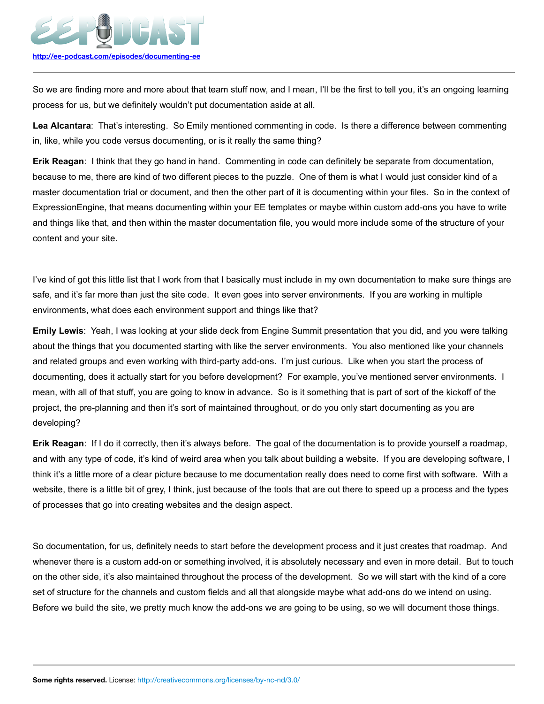

So we are finding more and more about that team stuff now, and I mean, I'll be the first to tell you, it's an ongoing learning process for us, but we definitely wouldn't put documentation aside at all.

**Lea Alcantara**: That's interesting. So Emily mentioned commenting in code. Is there a difference between commenting in, like, while you code versus documenting, or is it really the same thing?

**Erik Reagan**: I think that they go hand in hand. Commenting in code can definitely be separate from documentation, because to me, there are kind of two different pieces to the puzzle. One of them is what I would just consider kind of a master documentation trial or document, and then the other part of it is documenting within your files. So in the context of ExpressionEngine, that means documenting within your EE templates or maybe within custom add-ons you have to write and things like that, and then within the master documentation file, you would more include some of the structure of your content and your site.

I've kind of got this little list that I work from that I basically must include in my own documentation to make sure things are safe, and it's far more than just the site code. It even goes into server environments. If you are working in multiple environments, what does each environment support and things like that?

**Emily Lewis**: Yeah, I was looking at your slide deck from Engine Summit presentation that you did, and you were talking about the things that you documented starting with like the server environments. You also mentioned like your channels and related groups and even working with third-party add-ons. I'm just curious. Like when you start the process of documenting, does it actually start for you before development? For example, you've mentioned server environments. I mean, with all of that stuff, you are going to know in advance. So is it something that is part of sort of the kickoff of the project, the pre-planning and then it's sort of maintained throughout, or do you only start documenting as you are developing?

**Erik Reagan**: If I do it correctly, then it's always before. The goal of the documentation is to provide yourself a roadmap, and with any type of code, it's kind of weird area when you talk about building a website. If you are developing software, I think it's a little more of a clear picture because to me documentation really does need to come first with software. With a website, there is a little bit of grey, I think, just because of the tools that are out there to speed up a process and the types of processes that go into creating websites and the design aspect.

So documentation, for us, definitely needs to start before the development process and it just creates that roadmap. And whenever there is a custom add-on or something involved, it is absolutely necessary and even in more detail. But to touch on the other side, it's also maintained throughout the process of the development. So we will start with the kind of a core set of structure for the channels and custom fields and all that alongside maybe what add-ons do we intend on using. Before we build the site, we pretty much know the add-ons we are going to be using, so we will document those things.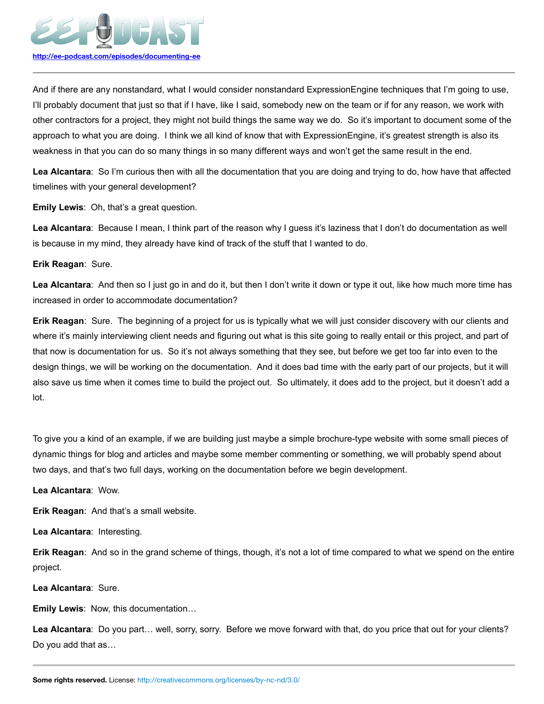

And if there are any nonstandard, what I would consider nonstandard ExpressionEngine techniques that I'm going to use, I'll probably document that just so that if I have, like I said, somebody new on the team or if for any reason, we work with other contractors for a project, they might not build things the same way we do. So it's important to document some of the approach to what you are doing. I think we all kind of know that with ExpressionEngine, it's greatest strength is also its weakness in that you can do so many things in so many different ways and won't get the same result in the end.

**Lea Alcantara**: So I'm curious then with all the documentation that you are doing and trying to do, how have that affected timelines with your general development?

**Emily Lewis**: Oh, that's a great question.

**Lea Alcantara**: Because I mean, I think part of the reason why I guess it's laziness that I don't do documentation as well is because in my mind, they already have kind of track of the stuff that I wanted to do.

## **Erik Reagan**: Sure.

**Lea Alcantara**: And then so I just go in and do it, but then I don't write it down or type it out, like how much more time has increased in order to accommodate documentation?

**Erik Reagan**: Sure. The beginning of a project for us is typically what we will just consider discovery with our clients and where it's mainly interviewing client needs and figuring out what is this site going to really entail or this project, and part of that now is documentation for us. So it's not always something that they see, but before we get too far into even to the design things, we will be working on the documentation. And it does bad time with the early part of our projects, but it will also save us time when it comes time to build the project out. So ultimately, it does add to the project, but it doesn't add a lot.

To give you a kind of an example, if we are building just maybe a simple brochure-type website with some small pieces of dynamic things for blog and articles and maybe some member commenting or something, we will probably spend about two days, and that's two full days, working on the documentation before we begin development.

**Lea Alcantara**: Wow.

**Erik Reagan**: And that's a small website.

**Lea Alcantara**: Interesting.

**Erik Reagan**: And so in the grand scheme of things, though, it's not a lot of time compared to what we spend on the entire project.

**Lea Alcantara**: Sure.

**Emily Lewis**: Now, this documentation…

**Lea Alcantara**: Do you part… well, sorry, sorry. Before we move forward with that, do you price that out for your clients? Do you add that as…

**Some rights reserved.** License: http://creativecommons.org/licenses/by-nc-nd/3.0/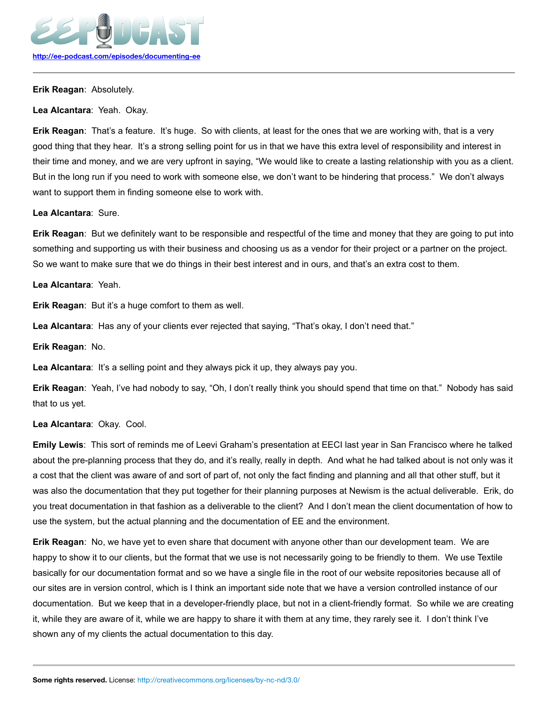

**Erik Reagan**: Absolutely.

**Lea Alcantara**: Yeah. Okay.

**Erik Reagan**: That's a feature. It's huge. So with clients, at least for the ones that we are working with, that is a very good thing that they hear. It's a strong selling point for us in that we have this extra level of responsibility and interest in their time and money, and we are very upfront in saying, "We would like to create a lasting relationship with you as a client. But in the long run if you need to work with someone else, we don't want to be hindering that process." We don't always want to support them in finding someone else to work with.

**Lea Alcantara**: Sure.

**Erik Reagan**: But we definitely want to be responsible and respectful of the time and money that they are going to put into something and supporting us with their business and choosing us as a vendor for their project or a partner on the project. So we want to make sure that we do things in their best interest and in ours, and that's an extra cost to them.

**Lea Alcantara**: Yeah.

**Erik Reagan**: But it's a huge comfort to them as well.

**Lea Alcantara**: Has any of your clients ever rejected that saying, "That's okay, I don't need that."

**Erik Reagan**: No.

**Lea Alcantara**: It's a selling point and they always pick it up, they always pay you.

**Erik Reagan**: Yeah, I've had nobody to say, "Oh, I don't really think you should spend that time on that." Nobody has said that to us yet.

## **Lea Alcantara**: Okay. Cool.

**Emily Lewis**: This sort of reminds me of Leevi Graham's presentation at EECI last year in San Francisco where he talked about the pre-planning process that they do, and it's really, really in depth. And what he had talked about is not only was it a cost that the client was aware of and sort of part of, not only the fact finding and planning and all that other stuff, but it was also the documentation that they put together for their planning purposes at Newism is the actual deliverable. Erik, do you treat documentation in that fashion as a deliverable to the client? And I don't mean the client documentation of how to use the system, but the actual planning and the documentation of EE and the environment.

**Erik Reagan**: No, we have yet to even share that document with anyone other than our development team. We are happy to show it to our clients, but the format that we use is not necessarily going to be friendly to them. We use Textile basically for our documentation format and so we have a single file in the root of our website repositories because all of our sites are in version control, which is I think an important side note that we have a version controlled instance of our documentation. But we keep that in a developer-friendly place, but not in a client-friendly format. So while we are creating it, while they are aware of it, while we are happy to share it with them at any time, they rarely see it. I don't think I've shown any of my clients the actual documentation to this day.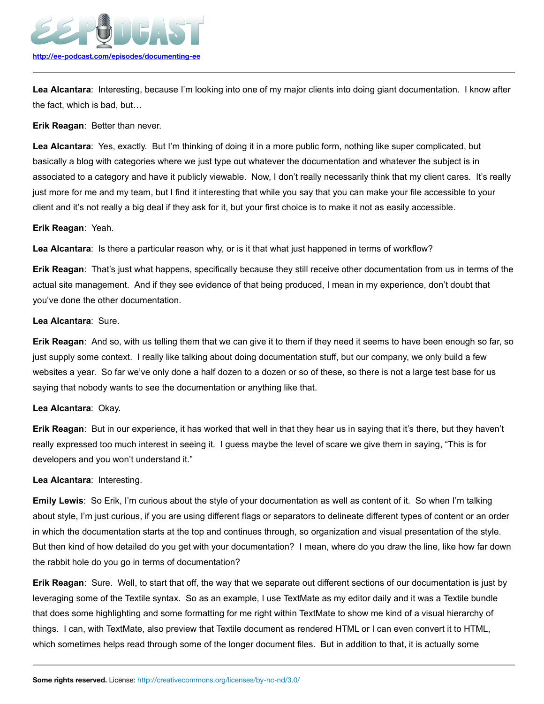

**Lea Alcantara**: Interesting, because I'm looking into one of my major clients into doing giant documentation. I know after the fact, which is bad, but…

#### **Erik Reagan**: Better than never.

**Lea Alcantara**: Yes, exactly. But I'm thinking of doing it in a more public form, nothing like super complicated, but basically a blog with categories where we just type out whatever the documentation and whatever the subject is in associated to a category and have it publicly viewable. Now, I don't really necessarily think that my client cares. It's really just more for me and my team, but I find it interesting that while you say that you can make your file accessible to your client and it's not really a big deal if they ask for it, but your first choice is to make it not as easily accessible.

#### **Erik Reagan**: Yeah.

**Lea Alcantara**: Is there a particular reason why, or is it that what just happened in terms of workflow?

**Erik Reagan**: That's just what happens, specifically because they still receive other documentation from us in terms of the actual site management. And if they see evidence of that being produced, I mean in my experience, don't doubt that you've done the other documentation.

#### **Lea Alcantara**: Sure.

**Erik Reagan**: And so, with us telling them that we can give it to them if they need it seems to have been enough so far, so just supply some context. I really like talking about doing documentation stuff, but our company, we only build a few websites a year. So far we've only done a half dozen to a dozen or so of these, so there is not a large test base for us saying that nobody wants to see the documentation or anything like that.

## **Lea Alcantara**: Okay.

**Erik Reagan**: But in our experience, it has worked that well in that they hear us in saying that it's there, but they haven't really expressed too much interest in seeing it. I guess maybe the level of scare we give them in saying, "This is for developers and you won't understand it."

#### **Lea Alcantara**: Interesting.

**Emily Lewis**: So Erik, I'm curious about the style of your documentation as well as content of it. So when I'm talking about style, I'm just curious, if you are using different flags or separators to delineate different types of content or an order in which the documentation starts at the top and continues through, so organization and visual presentation of the style. But then kind of how detailed do you get with your documentation? I mean, where do you draw the line, like how far down the rabbit hole do you go in terms of documentation?

**Erik Reagan**: Sure. Well, to start that off, the way that we separate out different sections of our documentation is just by leveraging some of the Textile syntax. So as an example, I use TextMate as my editor daily and it was a Textile bundle that does some highlighting and some formatting for me right within TextMate to show me kind of a visual hierarchy of things. I can, with TextMate, also preview that Textile document as rendered HTML or I can even convert it to HTML, which sometimes helps read through some of the longer document files. But in addition to that, it is actually some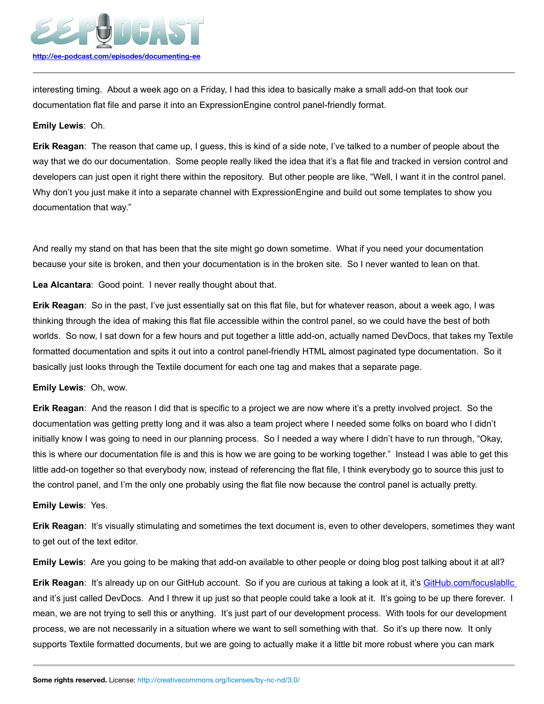

interesting timing. About a week ago on a Friday, I had this idea to basically make a small add-on that took our documentation flat file and parse it into an ExpressionEngine control panel-friendly format.

#### **Emily Lewis**: Oh.

**Erik Reagan**: The reason that came up, I guess, this is kind of a side note, I've talked to a number of people about the way that we do our documentation. Some people really liked the idea that it's a flat file and tracked in version control and developers can just open it right there within the repository. But other people are like, "Well, I want it in the control panel. Why don't you just make it into a separate channel with ExpressionEngine and build out some templates to show you documentation that way."

And really my stand on that has been that the site might go down sometime. What if you need your documentation because your site is broken, and then your documentation is in the broken site. So I never wanted to lean on that.

**Lea Alcantara**: Good point. I never really thought about that.

**Erik Reagan**: So in the past, I've just essentially sat on this flat file, but for whatever reason, about a week ago, I was thinking through the idea of making this flat file accessible within the control panel, so we could have the best of both worlds. So now, I sat down for a few hours and put together a little add-on, actually named DevDocs, that takes my Textile formatted documentation and spits it out into a control panel-friendly HTML almost paginated type documentation. So it basically just looks through the Textile document for each one tag and makes that a separate page.

**Emily Lewis**: Oh, wow.

**Erik Reagan**: And the reason I did that is specific to a project we are now where it's a pretty involved project. So the documentation was getting pretty long and it was also a team project where I needed some folks on board who I didn't initially know I was going to need in our planning process. So I needed a way where I didn't have to run through, "Okay, this is where our documentation file is and this is how we are going to be working together." Instead I was able to get this little add-on together so that everybody now, instead of referencing the flat file, I think everybody go to source this just to the control panel, and I'm the only one probably using the flat file now because the control panel is actually pretty.

#### **Emily Lewis**: Yes.

**Erik Reagan**: It's visually stimulating and sometimes the text document is, even to other developers, sometimes they want to get out of the text editor.

**Emily Lewis**: Are you going to be making that add-on available to other people or doing blog post talking about it at all?

**Erik Reagan: It's already up on our GitHub account. So if you are curious at taking a look at it, it's [GitHub.com/focuslabllc](https://github.com/focuslabllc)** and it's just called DevDocs. And I threw it up just so that people could take a look at it. It's going to be up there forever. I mean, we are not trying to sell this or anything. It's just part of our development process. With tools for our development process, we are not necessarily in a situation where we want to sell something with that. So it's up there now. It only supports Textile formatted documents, but we are going to actually make it a little bit more robust where you can mark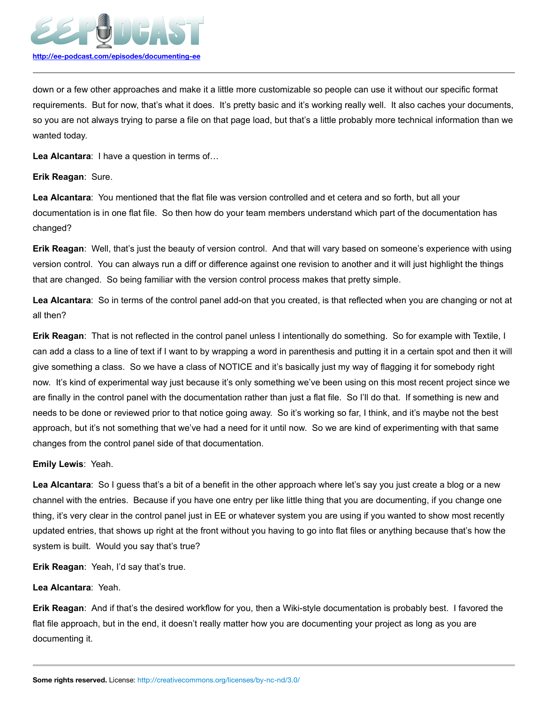

down or a few other approaches and make it a little more customizable so people can use it without our specific format requirements. But for now, that's what it does. It's pretty basic and it's working really well. It also caches your documents, so you are not always trying to parse a file on that page load, but that's a little probably more technical information than we wanted today.

**Lea Alcantara**: I have a question in terms of…

## **Erik Reagan**: Sure.

**Lea Alcantara**: You mentioned that the flat file was version controlled and et cetera and so forth, but all your documentation is in one flat file. So then how do your team members understand which part of the documentation has changed?

**Erik Reagan**: Well, that's just the beauty of version control. And that will vary based on someone's experience with using version control. You can always run a diff or difference against one revision to another and it will just highlight the things that are changed. So being familiar with the version control process makes that pretty simple.

**Lea Alcantara**: So in terms of the control panel add-on that you created, is that reflected when you are changing or not at all then?

**Erik Reagan**: That is not reflected in the control panel unless I intentionally do something. So for example with Textile, I can add a class to a line of text if I want to by wrapping a word in parenthesis and putting it in a certain spot and then it will give something a class. So we have a class of NOTICE and it's basically just my way of flagging it for somebody right now. It's kind of experimental way just because it's only something we've been using on this most recent project since we are finally in the control panel with the documentation rather than just a flat file. So I'll do that. If something is new and needs to be done or reviewed prior to that notice going away. So it's working so far, I think, and it's maybe not the best approach, but it's not something that we've had a need for it until now. So we are kind of experimenting with that same changes from the control panel side of that documentation.

# **Emily Lewis**: Yeah.

**Lea Alcantara**: So I guess that's a bit of a benefit in the other approach where let's say you just create a blog or a new channel with the entries. Because if you have one entry per like little thing that you are documenting, if you change one thing, it's very clear in the control panel just in EE or whatever system you are using if you wanted to show most recently updated entries, that shows up right at the front without you having to go into flat files or anything because that's how the system is built. Would you say that's true?

**Erik Reagan**: Yeah, I'd say that's true.

# **Lea Alcantara**: Yeah.

**Erik Reagan**: And if that's the desired workflow for you, then a Wiki-style documentation is probably best. I favored the flat file approach, but in the end, it doesn't really matter how you are documenting your project as long as you are documenting it.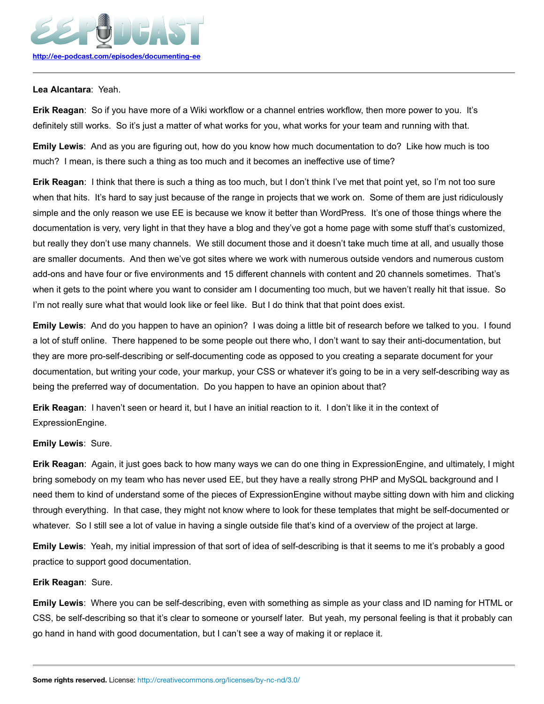

## **Lea Alcantara**: Yeah.

**Erik Reagan**: So if you have more of a Wiki workflow or a channel entries workflow, then more power to you. It's definitely still works. So it's just a matter of what works for you, what works for your team and running with that.

**Emily Lewis**: And as you are figuring out, how do you know how much documentation to do? Like how much is too much? I mean, is there such a thing as too much and it becomes an ineffective use of time?

**Erik Reagan**: I think that there is such a thing as too much, but I don't think I've met that point yet, so I'm not too sure when that hits. It's hard to say just because of the range in projects that we work on. Some of them are just ridiculously simple and the only reason we use EE is because we know it better than WordPress. It's one of those things where the documentation is very, very light in that they have a blog and they've got a home page with some stuff that's customized, but really they don't use many channels. We still document those and it doesn't take much time at all, and usually those are smaller documents. And then we've got sites where we work with numerous outside vendors and numerous custom add-ons and have four or five environments and 15 different channels with content and 20 channels sometimes. That's when it gets to the point where you want to consider am I documenting too much, but we haven't really hit that issue. So I'm not really sure what that would look like or feel like. But I do think that that point does exist.

**Emily Lewis**: And do you happen to have an opinion? I was doing a little bit of research before we talked to you. I found a lot of stuff online. There happened to be some people out there who, I don't want to say their anti-documentation, but they are more pro-self-describing or self-documenting code as opposed to you creating a separate document for your documentation, but writing your code, your markup, your CSS or whatever it's going to be in a very self-describing way as being the preferred way of documentation. Do you happen to have an opinion about that?

**Erik Reagan**: I haven't seen or heard it, but I have an initial reaction to it. I don't like it in the context of ExpressionEngine.

# **Emily Lewis**: Sure.

**Erik Reagan**: Again, it just goes back to how many ways we can do one thing in ExpressionEngine, and ultimately, I might bring somebody on my team who has never used EE, but they have a really strong PHP and MySQL background and I need them to kind of understand some of the pieces of ExpressionEngine without maybe sitting down with him and clicking through everything. In that case, they might not know where to look for these templates that might be self-documented or whatever. So I still see a lot of value in having a single outside file that's kind of a overview of the project at large.

**Emily Lewis**: Yeah, my initial impression of that sort of idea of self-describing is that it seems to me it's probably a good practice to support good documentation.

## **Erik Reagan**: Sure.

**Emily Lewis**: Where you can be self-describing, even with something as simple as your class and ID naming for HTML or CSS, be self-describing so that it's clear to someone or yourself later. But yeah, my personal feeling is that it probably can go hand in hand with good documentation, but I can't see a way of making it or replace it.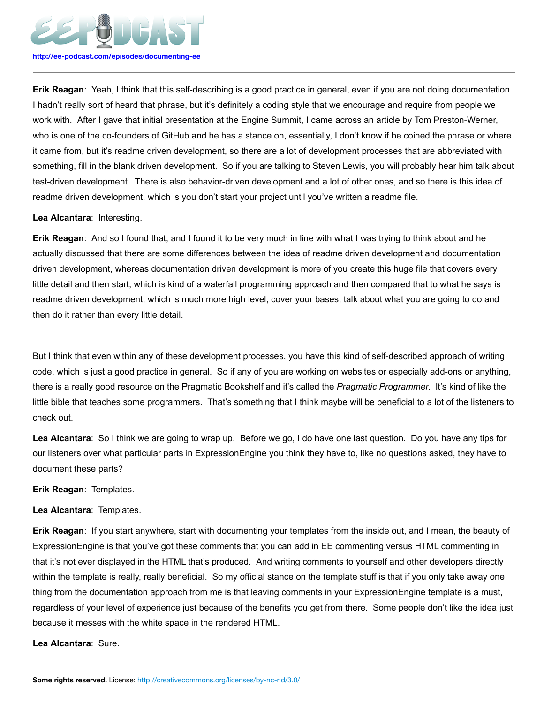

**Erik Reagan**: Yeah, I think that this self-describing is a good practice in general, even if you are not doing documentation. I hadn't really sort of heard that phrase, but it's definitely a coding style that we encourage and require from people we work with. After I gave that initial presentation at the Engine Summit, I came across an article by Tom Preston-Werner, who is one of the co-founders of GitHub and he has a stance on, essentially, I don't know if he coined the phrase or where it came from, but it's readme driven development, so there are a lot of development processes that are abbreviated with something, fill in the blank driven development. So if you are talking to Steven Lewis, you will probably hear him talk about test-driven development. There is also behavior-driven development and a lot of other ones, and so there is this idea of readme driven development, which is you don't start your project until you've written a readme file.

## **Lea Alcantara**: Interesting.

**Erik Reagan**: And so I found that, and I found it to be very much in line with what I was trying to think about and he actually discussed that there are some differences between the idea of readme driven development and documentation driven development, whereas documentation driven development is more of you create this huge file that covers every little detail and then start, which is kind of a waterfall programming approach and then compared that to what he says is readme driven development, which is much more high level, cover your bases, talk about what you are going to do and then do it rather than every little detail.

But I think that even within any of these development processes, you have this kind of self-described approach of writing code, which is just a good practice in general. So if any of you are working on websites or especially add-ons or anything, there is a really good resource on the Pragmatic Bookshelf and it's called the *Pragmatic Programmer*. It's kind of like the little bible that teaches some programmers. That's something that I think maybe will be beneficial to a lot of the listeners to check out.

**Lea Alcantara**: So I think we are going to wrap up. Before we go, I do have one last question. Do you have any tips for our listeners over what particular parts in ExpressionEngine you think they have to, like no questions asked, they have to document these parts?

**Erik Reagan**: Templates.

# **Lea Alcantara**: Templates.

**Erik Reagan**: If you start anywhere, start with documenting your templates from the inside out, and I mean, the beauty of ExpressionEngine is that you've got these comments that you can add in EE commenting versus HTML commenting in that it's not ever displayed in the HTML that's produced. And writing comments to yourself and other developers directly within the template is really, really beneficial. So my official stance on the template stuff is that if you only take away one thing from the documentation approach from me is that leaving comments in your ExpressionEngine template is a must, regardless of your level of experience just because of the benefits you get from there. Some people don't like the idea just because it messes with the white space in the rendered HTML.

**Lea Alcantara**: Sure.